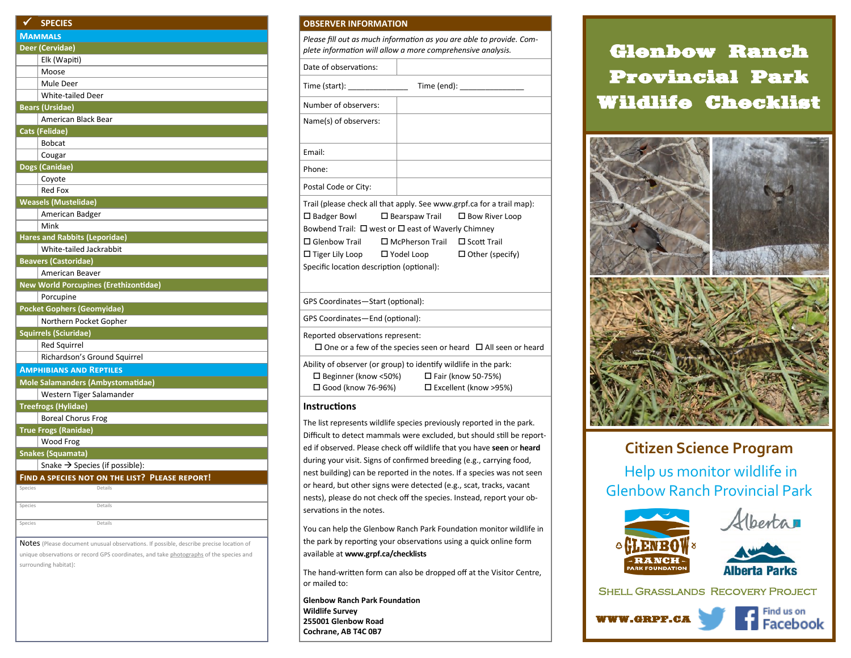| ✔<br><b>SPECIES</b>          |                                                |  |  |  |
|------------------------------|------------------------------------------------|--|--|--|
| <b>MAMMALS</b>               |                                                |  |  |  |
| Deer (Cervidae)              |                                                |  |  |  |
|                              | Elk (Wapiti)                                   |  |  |  |
| Moose                        |                                                |  |  |  |
| Mule Deer                    |                                                |  |  |  |
|                              | White-tailed Deer                              |  |  |  |
| <b>Bears (Ursidae)</b>       |                                                |  |  |  |
|                              | American Black Bear                            |  |  |  |
| <b>Cats (Felidae)</b>        |                                                |  |  |  |
| <b>Bobcat</b>                |                                                |  |  |  |
| Cougar                       |                                                |  |  |  |
| Dogs (Canidae)               |                                                |  |  |  |
| Coyote                       |                                                |  |  |  |
| <b>Red Fox</b>               |                                                |  |  |  |
| <b>Weasels (Mustelidae)</b>  |                                                |  |  |  |
|                              | American Badger                                |  |  |  |
| Mink                         |                                                |  |  |  |
|                              | <b>Hares and Rabbits (Leporidae)</b>           |  |  |  |
|                              | White-tailed Jackrabbit                        |  |  |  |
| <b>Beavers (Castoridae)</b>  |                                                |  |  |  |
|                              | American Beaver                                |  |  |  |
|                              | <b>New World Porcupines (Erethizontidae)</b>   |  |  |  |
| Porcupine                    |                                                |  |  |  |
|                              | <b>Pocket Gophers (Geomyidae)</b>              |  |  |  |
|                              | Northern Pocket Gopher                         |  |  |  |
| <b>Squirrels (Sciuridae)</b> |                                                |  |  |  |
| <b>Red Squirrel</b>          |                                                |  |  |  |
|                              | Richardson's Ground Squirrel                   |  |  |  |
|                              | <b>AMPHIBIANS AND REPTILES</b>                 |  |  |  |
|                              | Mole Salamanders (Ambystomatidae)              |  |  |  |
|                              | Western Tiger Salamander                       |  |  |  |
| <b>Treefrogs (Hylidae)</b>   |                                                |  |  |  |
|                              | <b>Boreal Chorus Frog</b>                      |  |  |  |
| <b>True Frogs (Ranidae)</b>  |                                                |  |  |  |
| Wood Frog                    |                                                |  |  |  |
| <b>Snakes (Squamata)</b>     |                                                |  |  |  |
|                              | Snake $\rightarrow$ Species (if possible):     |  |  |  |
|                              | FIND A SPECIES NOT ON THE LIST? PLEASE REPORT! |  |  |  |
| Species                      | Details                                        |  |  |  |
|                              |                                                |  |  |  |
| Species                      | Details                                        |  |  |  |
|                              |                                                |  |  |  |

unique observations or record GPS coordinates, and take photographs of the species and surrounding habitat):

## **OBSERVER INFORMATION**

*Please fill out as much information as you are able to provide. Complete information will allow a more comprehensive analysis.*

Date of observations:

Time (start): Time (end):

| Number of observers:                                                    |  |  |  |  |
|-------------------------------------------------------------------------|--|--|--|--|
| Name(s) of observers:                                                   |  |  |  |  |
|                                                                         |  |  |  |  |
| Email:                                                                  |  |  |  |  |
| Phone:                                                                  |  |  |  |  |
| Postal Code or City:                                                    |  |  |  |  |
| Trail (please check all that apply. See www.grpf.ca for a trail map):   |  |  |  |  |
| $\Box$ Badger Bowl $\Box$ Bearspaw Trail $\Box$ Bow River Loop          |  |  |  |  |
| Bowbend Trail: $\Box$ west or $\Box$ east of Waverly Chimney            |  |  |  |  |
| $\square$ Glenbow Trail $\square$ McPherson Trail $\square$ Scott Trail |  |  |  |  |

 $\square$  Tiger Lily Loop  $\square$  Yodel Loop  $\square$  Other (specify) Specific location description (optional):

GPS Coordinates—Start (optional):

GPS Coordinates—End (optional):

Reported observations represent:

 $\square$  One or a few of the species seen or heard  $\square$  All seen or heard

Ability of observer (or group) to identify wildlife in the park:  $\Box$  Beginner (know <50%)  $\Box$  Fair (know 50-75%)  $\square$  Good (know 76-96%)  $\square$  Excellent (know >95%)

## **Instructions**

The list represents wildlife species previously reported in the park. Difficult to detect mammals were excluded, but should still be reported if observed. Please check off wildlife that you have **seen** or **heard**  during your visit. Signs of confirmed breeding (e.g., carrying food, nest building) can be reported in the notes. If a species was not seen or heard, but other signs were detected (e.g., scat, tracks, vacant nests), please do not check off the species. Instead, report your observations in the notes.

You can help the Glenbow Ranch Park Foundation monitor wildlife in the park by reporting your observations using a quick online form available at **www.grpf.ca/checklists**

The hand-written form can also be dropped off at the Visitor Centre, or mailed to:

**Glenbow Ranch Park Foundation Wildlife Survey 255001 Glenbow Road Cochrane, AB T4C 0B7**

## Glenbow Ranch Provincial Park Wildlife Checklist



## **Citizen Science Program**

Help us monitor wildlife in Glenbow Ranch Provincial Park





Shell Grasslands Recovery Project

WWW.GRPF.CA